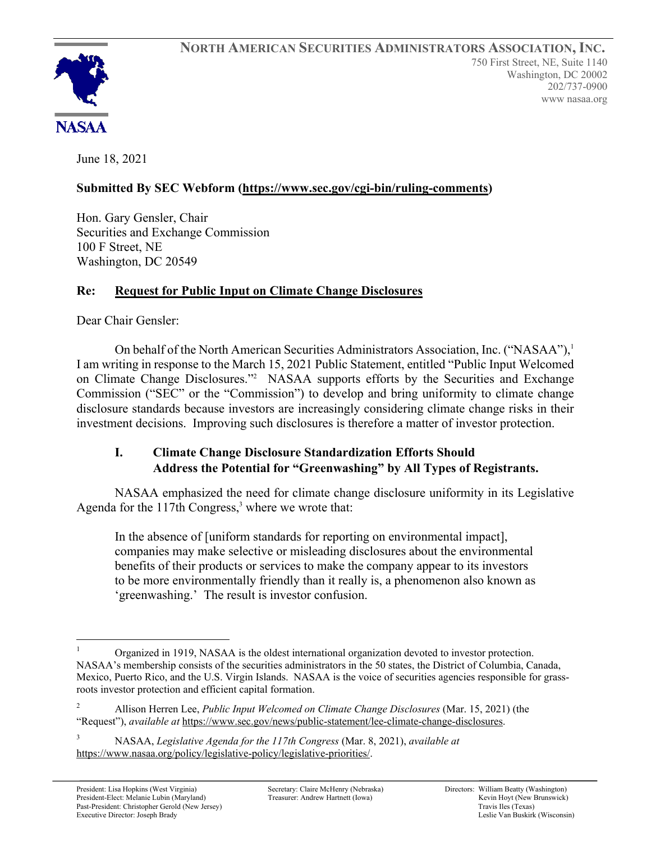

June 18, 2021

# **Submitted By SEC Webform (https://www.sec.gov/cgi-bin/ruling-comments)**

Hon. Gary Gensler, Chair Securities and Exchange Commission 100 F Street, NE Washington, DC 20549

## **Re: Request for Public Input on Climate Change Disclosures**

Dear Chair Gensler:

On behalf of the North American Securities Administrators Association, Inc. ("NASAA"),<sup>1</sup> I am writing in response to the March 15, 2021 Public Statement, entitled "Public Input Welcomed on Climate Change Disclosures."<sup>2</sup> NASAA supports efforts by the Securities and Exchange Commission ("SEC" or the "Commission") to develop and bring uniformity to climate change disclosure standards because investors are increasingly considering climate change risks in their investment decisions. Improving such disclosures is therefore a matter of investor protection.

## **I. Climate Change Disclosure Standardization Efforts Should Address the Potential for "Greenwashing" by All Types of Registrants.**

NASAA emphasized the need for climate change disclosure uniformity in its Legislative Agenda for the  $117$ th Congress,<sup>3</sup> where we wrote that:

In the absence of [uniform standards for reporting on environmental impact], companies may make selective or misleading disclosures about the environmental benefits of their products or services to make the company appear to its investors to be more environmentally friendly than it really is, a phenomenon also known as 'greenwashing.' The result is investor confusion.

Organized in 1919, NASAA is the oldest international organization devoted to investor protection. NASAA's membership consists of the securities administrators in the 50 states, the District of Columbia, Canada, Mexico, Puerto Rico, and the U.S. Virgin Islands. NASAA is the voice of securities agencies responsible for grassroots investor protection and efficient capital formation.

<sup>2</sup> Allison Herren Lee, *Public Input Welcomed on Climate Change Disclosures* (Mar. 15, 2021) (the "Request"), *available at* https://www.sec.gov/news/public-statement/lee-climate-change-disclosures.

<sup>3</sup> NASAA, *Legislative Agenda for the 117th Congress* (Mar. 8, 2021), *available at* https://www.nasaa.org/policy/legislative-policy/legislative-priorities/.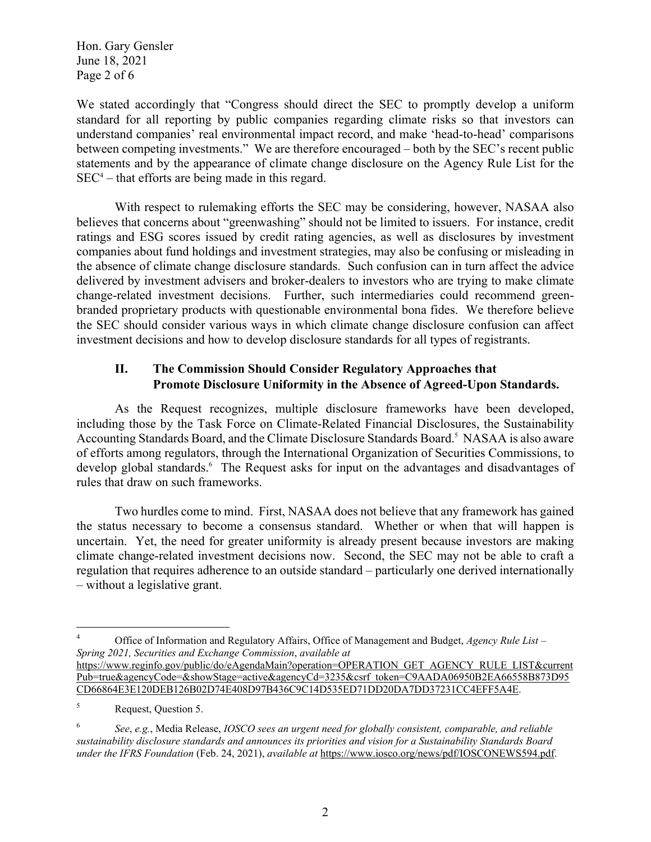Hon. Gary Gensler June 18, 2021 Page 2 of 6

We stated accordingly that "Congress should direct the SEC to promptly develop a uniform standard for all reporting by public companies regarding climate risks so that investors can understand companies' real environmental impact record, and make 'head-to-head' comparisons between competing investments." We are therefore encouraged – both by the SEC's recent public statements and by the appearance of climate change disclosure on the Agency Rule List for the  $SEC<sup>4</sup> - that efforts are being made in this regard.$ 

With respect to rulemaking efforts the SEC may be considering, however, NASAA also believes that concerns about "greenwashing" should not be limited to issuers. For instance, credit ratings and ESG scores issued by credit rating agencies, as well as disclosures by investment companies about fund holdings and investment strategies, may also be confusing or misleading in the absence of climate change disclosure standards. Such confusion can in turn affect the advice delivered by investment advisers and broker-dealers to investors who are trying to make climate change-related investment decisions. Further, such intermediaries could recommend greenbranded proprietary products with questionable environmental bona fides. We therefore believe the SEC should consider various ways in which climate change disclosure confusion can affect investment decisions and how to develop disclosure standards for all types of registrants.

### **II. The Commission Should Consider Regulatory Approaches that Promote Disclosure Uniformity in the Absence of Agreed-Upon Standards.**

As the Request recognizes, multiple disclosure frameworks have been developed, including those by the Task Force on Climate-Related Financial Disclosures, the Sustainability Accounting Standards Board, and the Climate Disclosure Standards Board.<sup>5</sup> NASAA is also aware of efforts among regulators, through the International Organization of Securities Commissions, to develop global standards.<sup>6</sup> The Request asks for input on the advantages and disadvantages of rules that draw on such frameworks.

Two hurdles come to mind. First, NASAA does not believe that any framework has gained the status necessary to become a consensus standard. Whether or when that will happen is uncertain. Yet, the need for greater uniformity is already present because investors are making climate change-related investment decisions now. Second, the SEC may not be able to craft a regulation that requires adherence to an outside standard – particularly one derived internationally – without a legislative grant.

<sup>4</sup> Office of Information and Regulatory Affairs, Office of Management and Budget, *Agency Rule List – Spring 2021, Securities and Exchange Commission*, *available at* https://www.reginfo.gov/public/do/eAgendaMain?operation=OPERATION GET AGENCY RULE LIST&current Pub=true&agencyCode=&showStage=active&agencyCd=3235&csrf token=C9AADA06950B2EA66558B873D95

CD66864E3E120DEB126B02D74E408D97B436C9C14D535ED71DD20DA7DD37231CC4EFF5A4E.

<sup>5</sup> Request, Question 5.

<sup>6</sup> *See*, *e.g.*, Media Release, *IOSCO sees an urgent need for globally consistent, comparable, and reliable sustainability disclosure standards and announces its priorities and vision for a Sustainability Standards Board under the IFRS Foundation* (Feb. 24, 2021), *available at* https://www.iosco.org/news/pdf/IOSCONEWS594.pdf.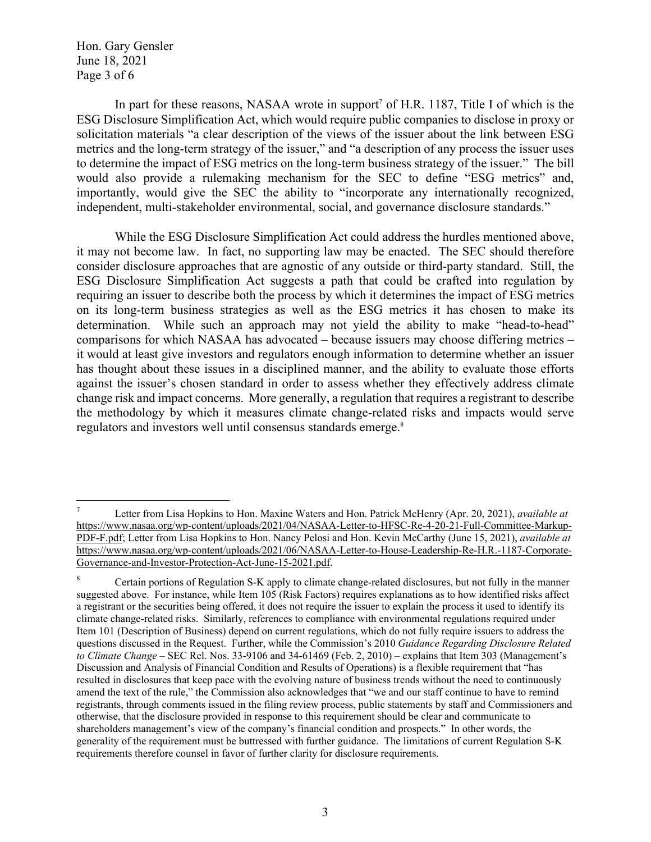Hon. Gary Gensler June 18, 2021 Page 3 of 6

In part for these reasons, NASAA wrote in support<sup>7</sup> of H.R. 1187, Title I of which is the ESG Disclosure Simplification Act, which would require public companies to disclose in proxy or solicitation materials "a clear description of the views of the issuer about the link between ESG metrics and the long-term strategy of the issuer," and "a description of any process the issuer uses to determine the impact of ESG metrics on the long-term business strategy of the issuer." The bill would also provide a rulemaking mechanism for the SEC to define "ESG metrics" and, importantly, would give the SEC the ability to "incorporate any internationally recognized, independent, multi-stakeholder environmental, social, and governance disclosure standards."

While the ESG Disclosure Simplification Act could address the hurdles mentioned above, it may not become law. In fact, no supporting law may be enacted. The SEC should therefore consider disclosure approaches that are agnostic of any outside or third-party standard. Still, the ESG Disclosure Simplification Act suggests a path that could be crafted into regulation by requiring an issuer to describe both the process by which it determines the impact of ESG metrics on its long-term business strategies as well as the ESG metrics it has chosen to make its determination. While such an approach may not yield the ability to make "head-to-head" comparisons for which NASAA has advocated – because issuers may choose differing metrics – it would at least give investors and regulators enough information to determine whether an issuer has thought about these issues in a disciplined manner, and the ability to evaluate those efforts against the issuer's chosen standard in order to assess whether they effectively address climate change risk and impact concerns. More generally, a regulation that requires a registrant to describe the methodology by which it measures climate change-related risks and impacts would serve regulators and investors well until consensus standards emerge.<sup>8</sup>

<sup>7</sup> Letter from Lisa Hopkins to Hon. Maxine Waters and Hon. Patrick McHenry (Apr. 20, 2021), *available at* https://www.nasaa.org/wp-content/uploads/2021/04/NASAA-Letter-to-HFSC-Re-4-20-21-Full-Committee-Markup-PDF-F.pdf; Letter from Lisa Hopkins to Hon. Nancy Pelosi and Hon. Kevin McCarthy (June 15, 2021), *available at* https://www.nasaa.org/wp-content/uploads/2021/06/NASAA-Letter-to-House-Leadership-Re-H.R.-1187-Corporate-Governance-and-Investor-Protection-Act-June-15-2021.pdf.

<sup>8</sup> Certain portions of Regulation S-K apply to climate change-related disclosures, but not fully in the manner suggested above. For instance, while Item 105 (Risk Factors) requires explanations as to how identified risks affect a registrant or the securities being offered, it does not require the issuer to explain the process it used to identify its climate change-related risks. Similarly, references to compliance with environmental regulations required under Item 101 (Description of Business) depend on current regulations, which do not fully require issuers to address the questions discussed in the Request. Further, while the Commission's 2010 *Guidance Regarding Disclosure Related to Climate Change* – SEC Rel. Nos. 33-9106 and 34-61469 (Feb. 2, 2010) – explains that Item 303 (Management's Discussion and Analysis of Financial Condition and Results of Operations) is a flexible requirement that "has resulted in disclosures that keep pace with the evolving nature of business trends without the need to continuously amend the text of the rule," the Commission also acknowledges that "we and our staff continue to have to remind registrants, through comments issued in the filing review process, public statements by staff and Commissioners and otherwise, that the disclosure provided in response to this requirement should be clear and communicate to shareholders management's view of the company's financial condition and prospects." In other words, the generality of the requirement must be buttressed with further guidance. The limitations of current Regulation S-K requirements therefore counsel in favor of further clarity for disclosure requirements.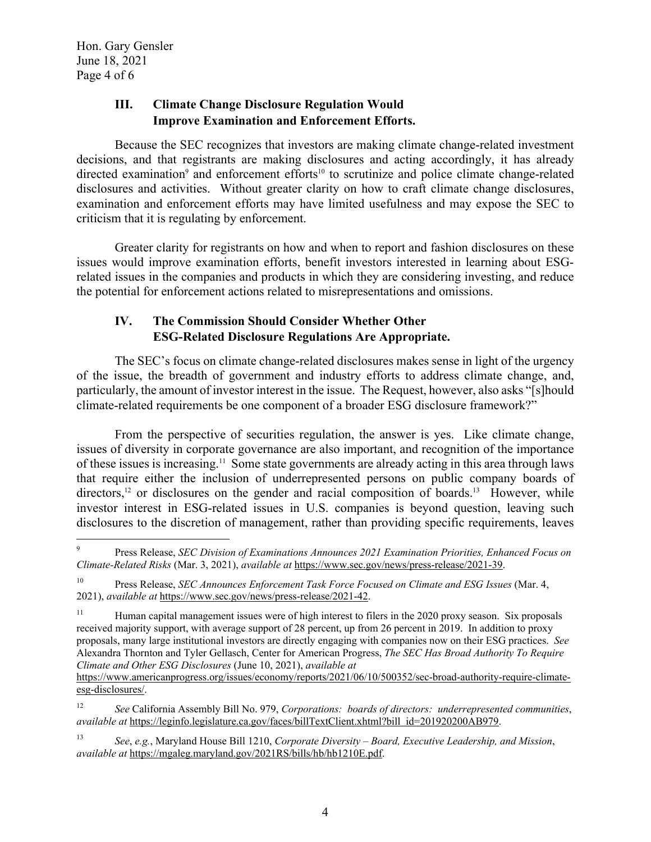Hon. Gary Gensler June 18, 2021 Page 4 of 6

### **III. Climate Change Disclosure Regulation Would Improve Examination and Enforcement Efforts.**

Because the SEC recognizes that investors are making climate change-related investment decisions, and that registrants are making disclosures and acting accordingly, it has already directed examination<sup>9</sup> and enforcement efforts<sup>10</sup> to scrutinize and police climate change-related disclosures and activities. Without greater clarity on how to craft climate change disclosures, examination and enforcement efforts may have limited usefulness and may expose the SEC to criticism that it is regulating by enforcement.

Greater clarity for registrants on how and when to report and fashion disclosures on these issues would improve examination efforts, benefit investors interested in learning about ESGrelated issues in the companies and products in which they are considering investing, and reduce the potential for enforcement actions related to misrepresentations and omissions.

### **IV. The Commission Should Consider Whether Other ESG-Related Disclosure Regulations Are Appropriate.**

The SEC's focus on climate change-related disclosures makes sense in light of the urgency of the issue, the breadth of government and industry efforts to address climate change, and, particularly, the amount of investor interest in the issue. The Request, however, also asks "[s]hould climate-related requirements be one component of a broader ESG disclosure framework?"

From the perspective of securities regulation, the answer is yes. Like climate change, issues of diversity in corporate governance are also important, and recognition of the importance of these issues is increasing.11 Some state governments are already acting in this area through laws that require either the inclusion of underrepresented persons on public company boards of directors,<sup>12</sup> or disclosures on the gender and racial composition of boards.<sup>13</sup> However, while investor interest in ESG-related issues in U.S. companies is beyond question, leaving such disclosures to the discretion of management, rather than providing specific requirements, leaves

<sup>9</sup> Press Release, *SEC Division of Examinations Announces 2021 Examination Priorities, Enhanced Focus on Climate-Related Risks* (Mar. 3, 2021), *available at* https://www.sec.gov/news/press-release/2021-39.

<sup>10</sup> Press Release, *SEC Announces Enforcement Task Force Focused on Climate and ESG Issues* (Mar. 4, 2021), *available at* https://www.sec.gov/news/press-release/2021-42.

<sup>&</sup>lt;sup>11</sup> Human capital management issues were of high interest to filers in the 2020 proxy season. Six proposals received majority support, with average support of 28 percent, up from 26 percent in 2019. In addition to proxy proposals, many large institutional investors are directly engaging with companies now on their ESG practices. *See* Alexandra Thornton and Tyler Gellasch, Center for American Progress, *The SEC Has Broad Authority To Require Climate and Other ESG Disclosures* (June 10, 2021), *available at*

https://www.americanprogress.org/issues/economy/reports/2021/06/10/500352/sec-broad-authority-require-climateesg-disclosures/.

<sup>12</sup> *See* California Assembly Bill No. 979, *Corporations: boards of directors: underrepresented communities*, *available at* https://leginfo.legislature.ca.gov/faces/billTextClient.xhtml?bill id=201920200AB979.

<sup>13</sup> *See*, *e.g.*, Maryland House Bill 1210, *Corporate Diversity – Board, Executive Leadership, and Mission*, *available at* https://mgaleg.maryland.gov/2021RS/bills/hb/hb1210E.pdf.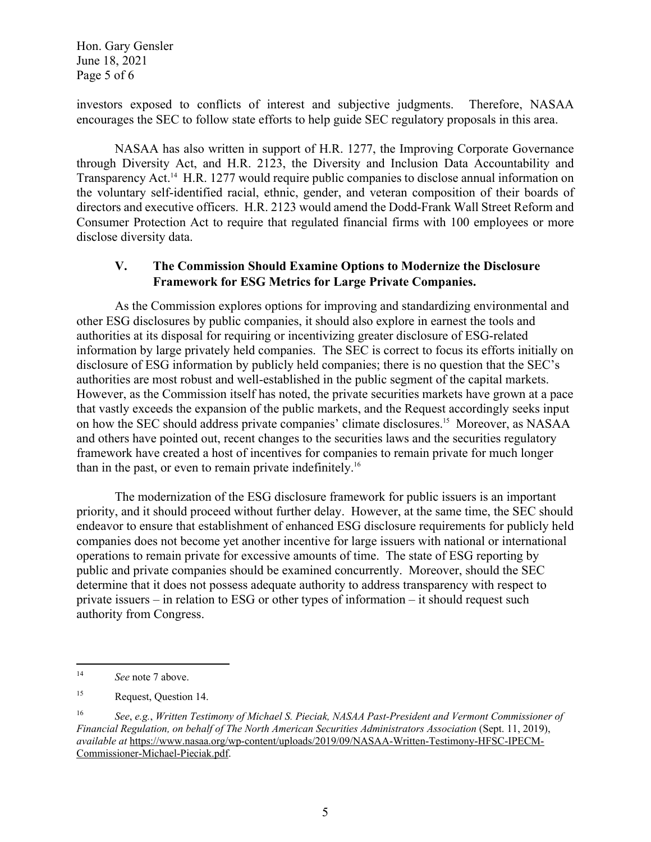Hon. Gary Gensler June 18, 2021 Page 5 of 6

investors exposed to conflicts of interest and subjective judgments. Therefore, NASAA encourages the SEC to follow state efforts to help guide SEC regulatory proposals in this area.

NASAA has also written in support of H.R. 1277, the Improving Corporate Governance through Diversity Act, and H.R. 2123, the Diversity and Inclusion Data Accountability and Transparency Act.<sup>14</sup> H.R. 1277 would require public companies to disclose annual information on the voluntary self-identified racial, ethnic, gender, and veteran composition of their boards of directors and executive officers. H.R. 2123 would amend the Dodd-Frank Wall Street Reform and Consumer Protection Act to require that regulated financial firms with 100 employees or more disclose diversity data.

#### **V. The Commission Should Examine Options to Modernize the Disclosure Framework for ESG Metrics for Large Private Companies.**

As the Commission explores options for improving and standardizing environmental and other ESG disclosures by public companies, it should also explore in earnest the tools and authorities at its disposal for requiring or incentivizing greater disclosure of ESG-related information by large privately held companies. The SEC is correct to focus its efforts initially on disclosure of ESG information by publicly held companies; there is no question that the SEC's authorities are most robust and well-established in the public segment of the capital markets. However, as the Commission itself has noted, the private securities markets have grown at a pace that vastly exceeds the expansion of the public markets, and the Request accordingly seeks input on how the SEC should address private companies' climate disclosures.15 Moreover, as NASAA and others have pointed out, recent changes to the securities laws and the securities regulatory framework have created a host of incentives for companies to remain private for much longer than in the past, or even to remain private indefinitely.16

The modernization of the ESG disclosure framework for public issuers is an important priority, and it should proceed without further delay. However, at the same time, the SEC should endeavor to ensure that establishment of enhanced ESG disclosure requirements for publicly held companies does not become yet another incentive for large issuers with national or international operations to remain private for excessive amounts of time. The state of ESG reporting by public and private companies should be examined concurrently. Moreover, should the SEC determine that it does not possess adequate authority to address transparency with respect to private issuers – in relation to ESG or other types of information – it should request such authority from Congress.

<sup>14</sup> *See* note 7 above.

<sup>15</sup> Request, Question 14.

<sup>16</sup> *See*, *e.g.*, *Written Testimony of Michael S. Pieciak, NASAA Past-President and Vermont Commissioner of Financial Regulation, on behalf of The North American Securities Administrators Association* (Sept. 11, 2019), *available at* https://www.nasaa.org/wp-content/uploads/2019/09/NASAA-Written-Testimony-HFSC-IPECM-Commissioner-Michael-Pieciak.pdf.